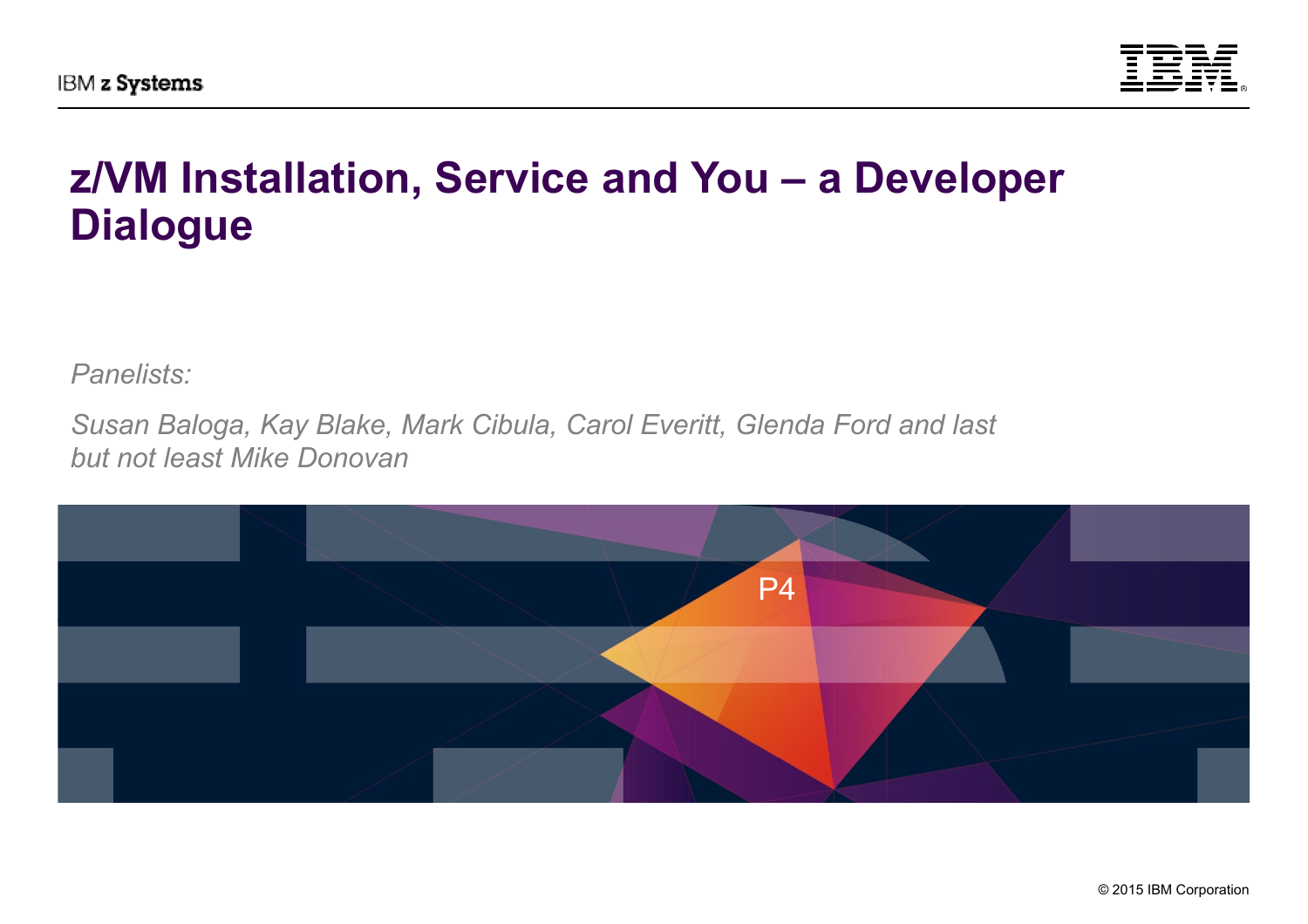

#### **z/VM Installation, Service and You – a Developer Dialogue**

*Panelists:*

*Susan Baloga, Kay Blake, Mark Cibula, Carol Everitt, Glenda Ford and last but not least Mike Donovan*

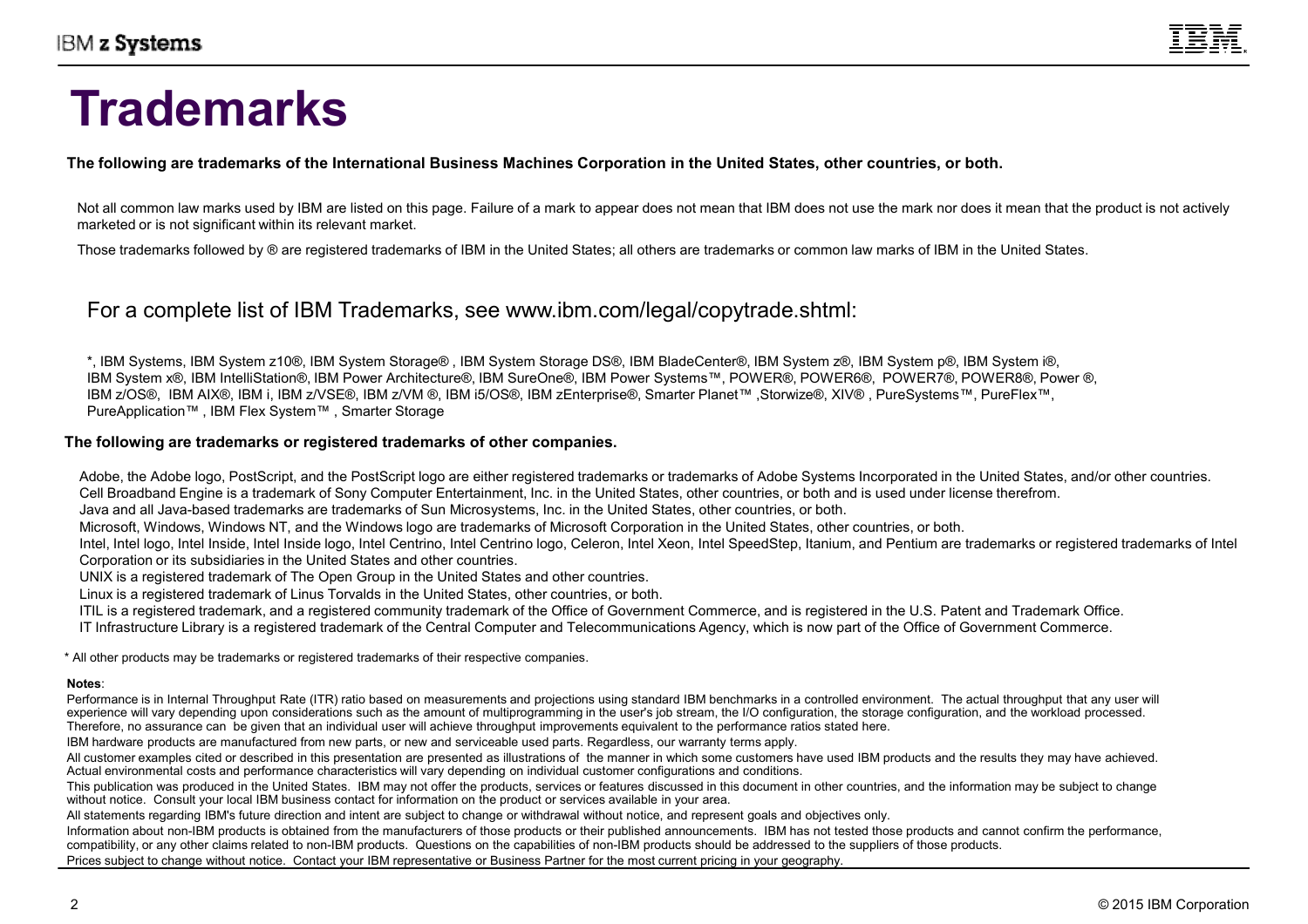## **Trademarks**

**The following are trademarks of the International Business Machines Corporation in the United States, other countries, or both.**

Not all common law marks used by IBM are listed on this page. Failure of a mark to appear does not mean that IBM does not use the mark nor does it mean that the product is not actively marketed or is not significant within its relevant market.

Those trademarks followed by ® are registered trademarks of IBM in the United States; all others are trademarks or common law marks of IBM in the United States.

#### For a complete list of IBM Trademarks, see www.ibm.com/legal/copytrade.shtml:

\*, IBM Systems, IBM System z10®, IBM System Storage® , IBM System Storage DS®, IBM BladeCenter®, IBM System z®, IBM System p®, IBM System i®, IBM System x®, IBM IntelliStation®, IBM Power Architecture®, IBM SureOne®, IBM Power Systems™, POWER®, POWER6®, POWER7®, POWER8®, Power ®, IBM z/OS®, IBM AIX®, IBM i, IBM z/VSE®, IBM z/VM ®, IBM i5/OS®, IBM zEnterprise®, Smarter Planet™ ,Storwize®, XIV® , PureSystems™, PureFlex™, PureApplication™ , IBM Flex System™ , Smarter Storage

#### **The following are trademarks or registered trademarks of other companies.**

Adobe, the Adobe logo, PostScript, and the PostScript logo are either registered trademarks or trademarks of Adobe Systems Incorporated in the United States, and/or other countries. Cell Broadband Engine is a trademark of Sony Computer Entertainment, Inc. in the United States, other countries, or both and is used under license therefrom.

Java and all Java-based trademarks are trademarks of Sun Microsystems, Inc. in the United States, other countries, or both.

Microsoft, Windows, Windows NT, and the Windows logo are trademarks of Microsoft Corporation in the United States, other countries, or both.

Intel, Intel logo, Intel Inside, Intel Inside logo, Intel Centrino, Intel Centrino logo, Celeron, Intel Xeon, Intel SpeedStep, Itanium, and Pentium are trademarks or registered trademarks of Intel Corporation or its subsidiaries in the United States and other countries.

UNIX is a registered trademark of The Open Group in the United States and other countries.

Linux is a registered trademark of Linus Torvalds in the United States, other countries, or both.

ITIL is a registered trademark, and a registered community trademark of the Office of Government Commerce, and is registered in the U.S. Patent and Trademark Office.

IT Infrastructure Library is a registered trademark of the Central Computer and Telecommunications Agency, which is now part of the Office of Government Commerce.

\* All other products may be trademarks or registered trademarks of their respective companies.

#### **Notes**:

Performance is in Internal Throughput Rate (ITR) ratio based on measurements and projections using standard IBM benchmarks in a controlled environment. The actual throughput that any user will experience will vary depending upon considerations such as the amount of multiprogramming in the user's job stream, the I/O configuration, the storage configuration, and the workload processed. Therefore, no assurance can be given that an individual user will achieve throughput improvements equivalent to the performance ratios stated here.

IBM hardware products are manufactured from new parts, or new and serviceable used parts. Regardless, our warranty terms apply.

All customer examples cited or described in this presentation are presented as illustrations of the manner in which some customers have used IBM products and the results they may have achieved. Actual environmental costs and performance characteristics will vary depending on individual customer configurations and conditions.

This publication was produced in the United States. IBM may not offer the products, services or features discussed in this document in other countries, and the information may be subject to change without notice. Consult your local IBM business contact for information on the product or services available in your area.

All statements regarding IBM's future direction and intent are subject to change or withdrawal without notice, and represent goals and objectives only.

Information about non-IBM products is obtained from the manufacturers of those products or their published announcements. IBM has not tested those products and cannot confirm the performance, compatibility, or any other claims related to non-IBM products. Questions on the capabilities of non-IBM products should be addressed to the suppliers of those products. Prices subject to change without notice. Contact your IBM representative or Business Partner for the most current pricing in your geography.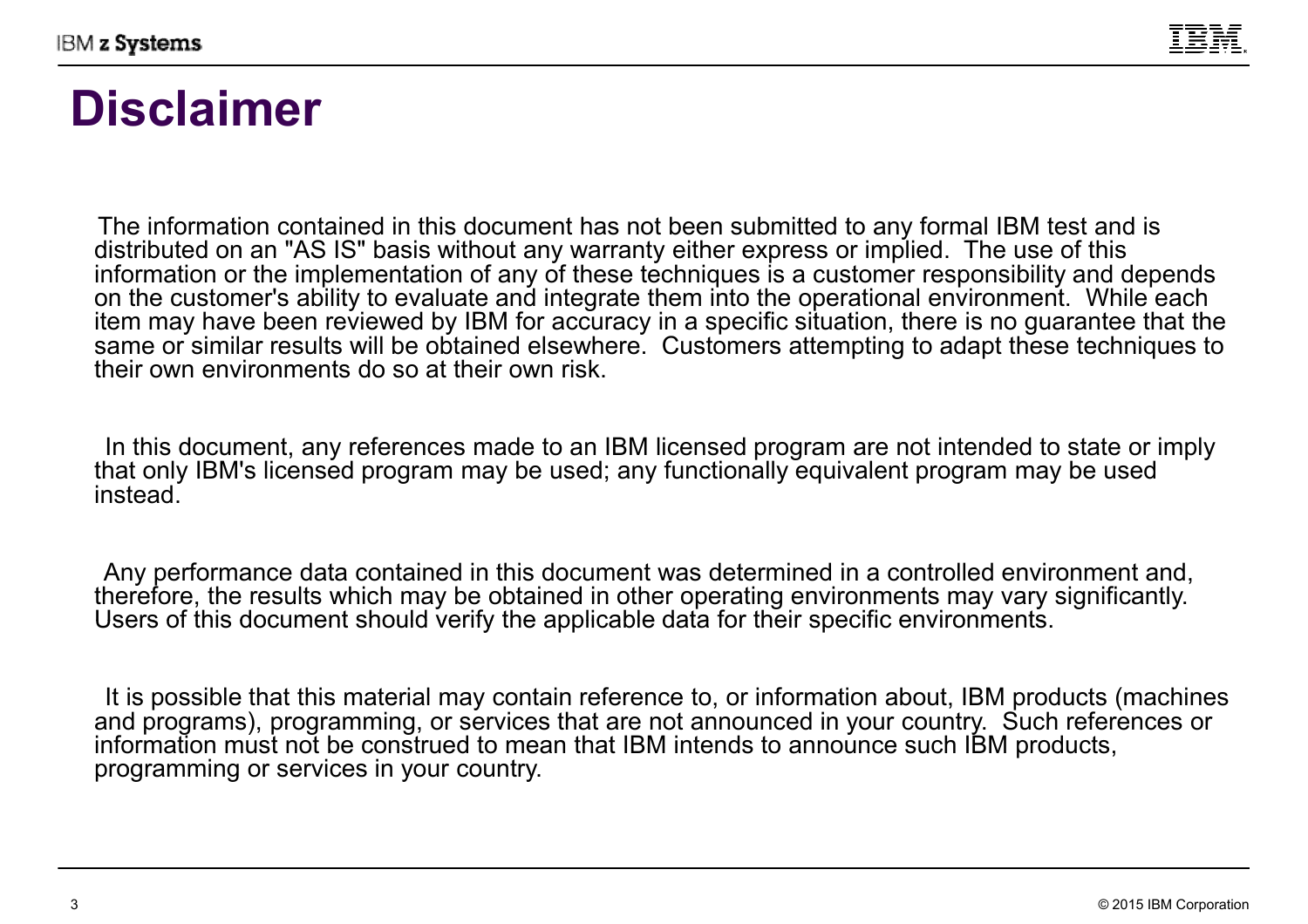

#### **Disclaimer**

The information contained in this document has not been submitted to any formal IBM test and is distributed on an "AS IS" basis without any warranty either express or implied. The use of this information or the implementation of any of these techniques is a customer responsibility and depends on the customer's ability to evaluate and integrate them into the operational environment. While each item may have been reviewed by IBM for accuracy in a specific situation, there is no guarantee that the same or similar results will be obtained elsewhere. Customers attempting to adapt these techniques to their own environments do so at their own risk.

In this document, any references made to an IBM licensed program are not intended to state or imply that only IBM's licensed program may be used; any functionally equivalent program may be used instead.

Any performance data contained in this document was determined in a controlled environment and, therefore, the results which may be obtained in other operating environments may vary significantly. Users of this document should verify the applicable data for their specific environments.

It is possible that this material may contain reference to, or information about, IBM products (machines and programs), programming, or services that are not announced in your country. Such references or information must not be construed to mean that IBM intends to announce such IBM products, programming or services in your country.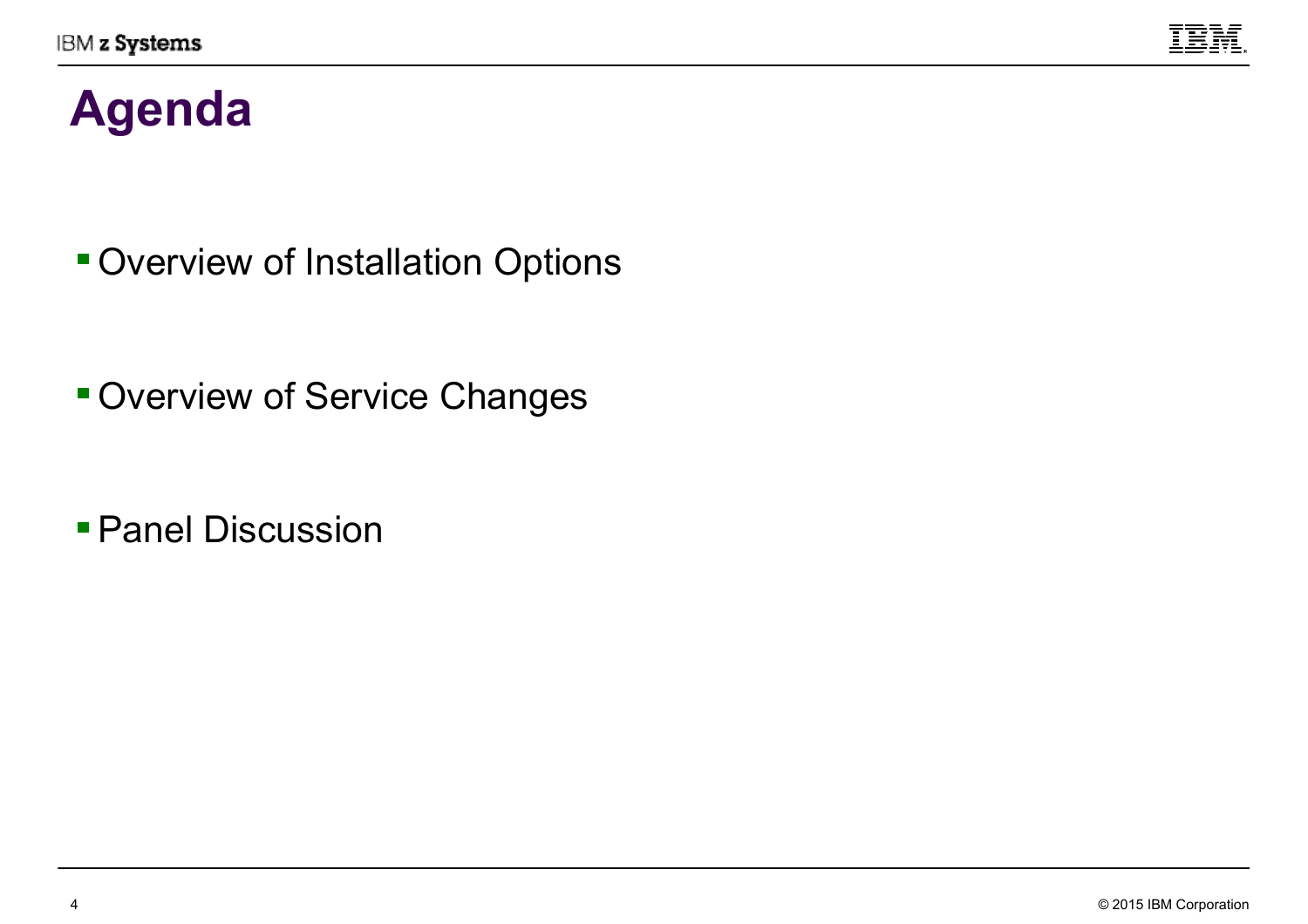

### **Agenda**

**- Overview of Installation Options** 

**- Overview of Service Changes** 

**Panel Discussion**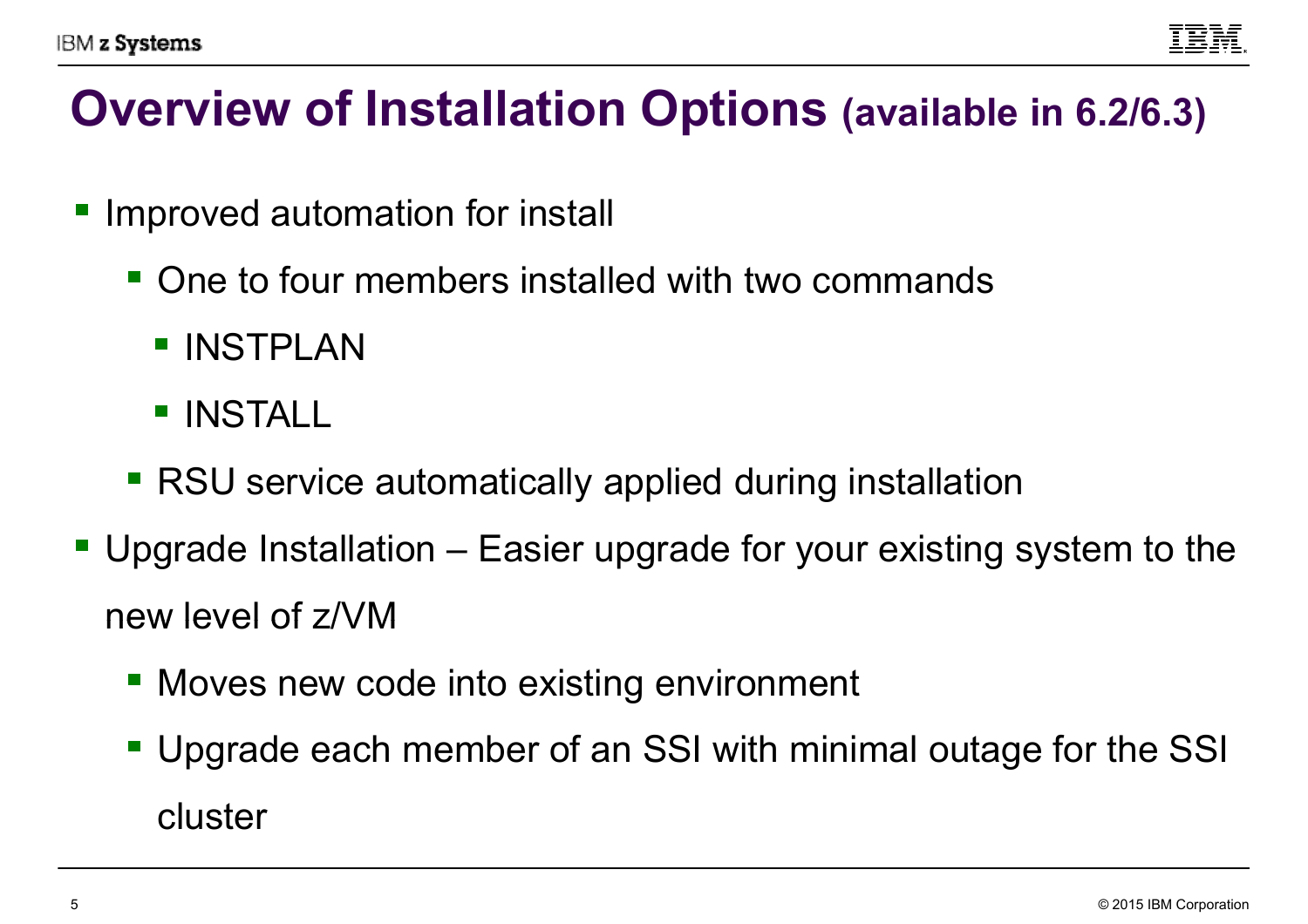#### **Overview of Installation Options (available in 6.2/6.3)**

- Improved automation for install
	- **One to four members installed with two commands** 
		- **INSTPLAN**
		- **INSTALL**
	- **RSU service automatically applied during installation**
- Upgrade Installation Easier upgrade for your existing system to the new level of z/VM
	- **Moves new code into existing environment**
	- Upgrade each member of an SSI with minimal outage for the SSI cluster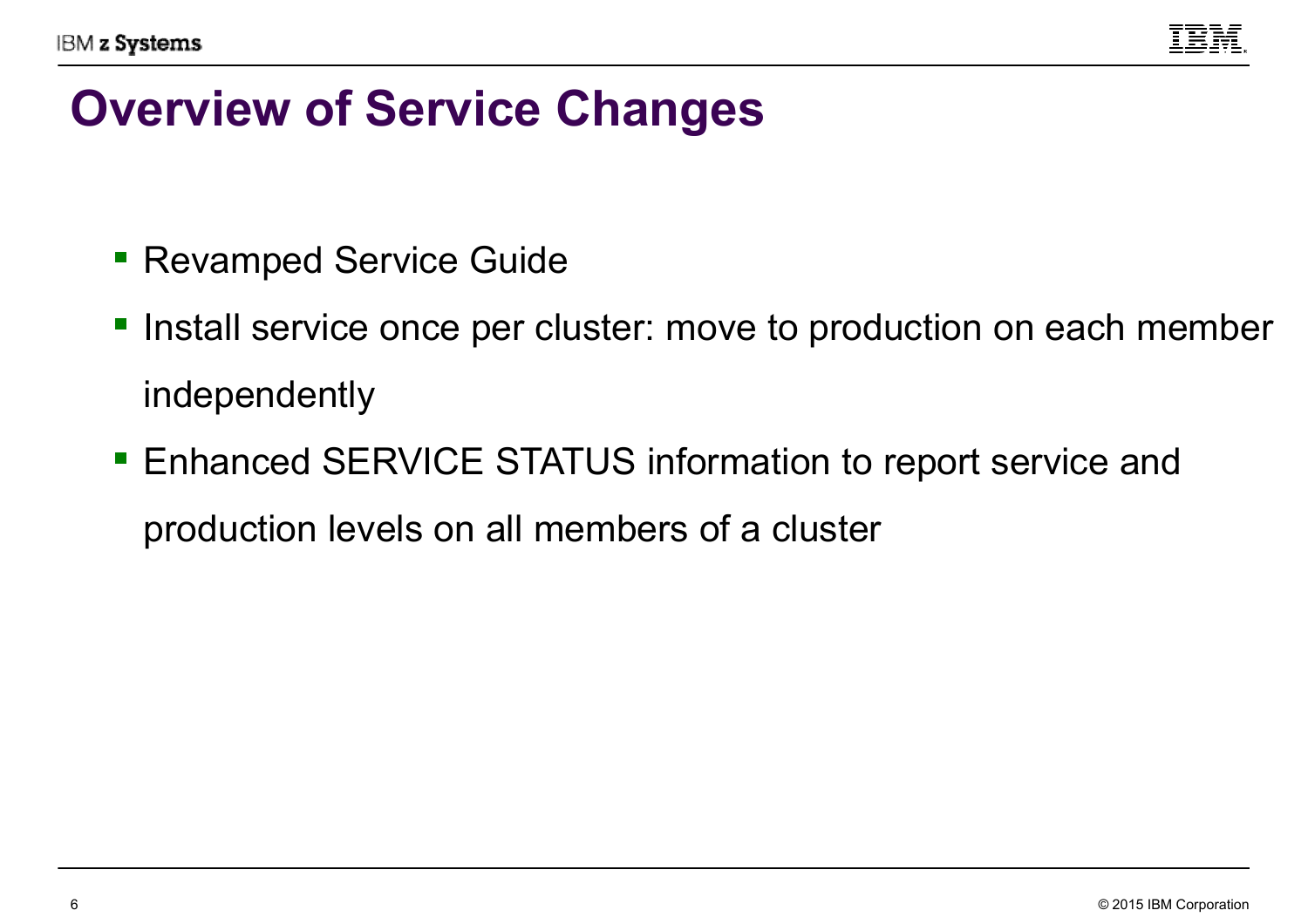

#### **Overview of Service Changes**

- **Revamped Service Guide**
- Install service once per cluster: move to production on each member independently
- **Enhanced SERVICE STATUS information to report service and** production levels on all members of a cluster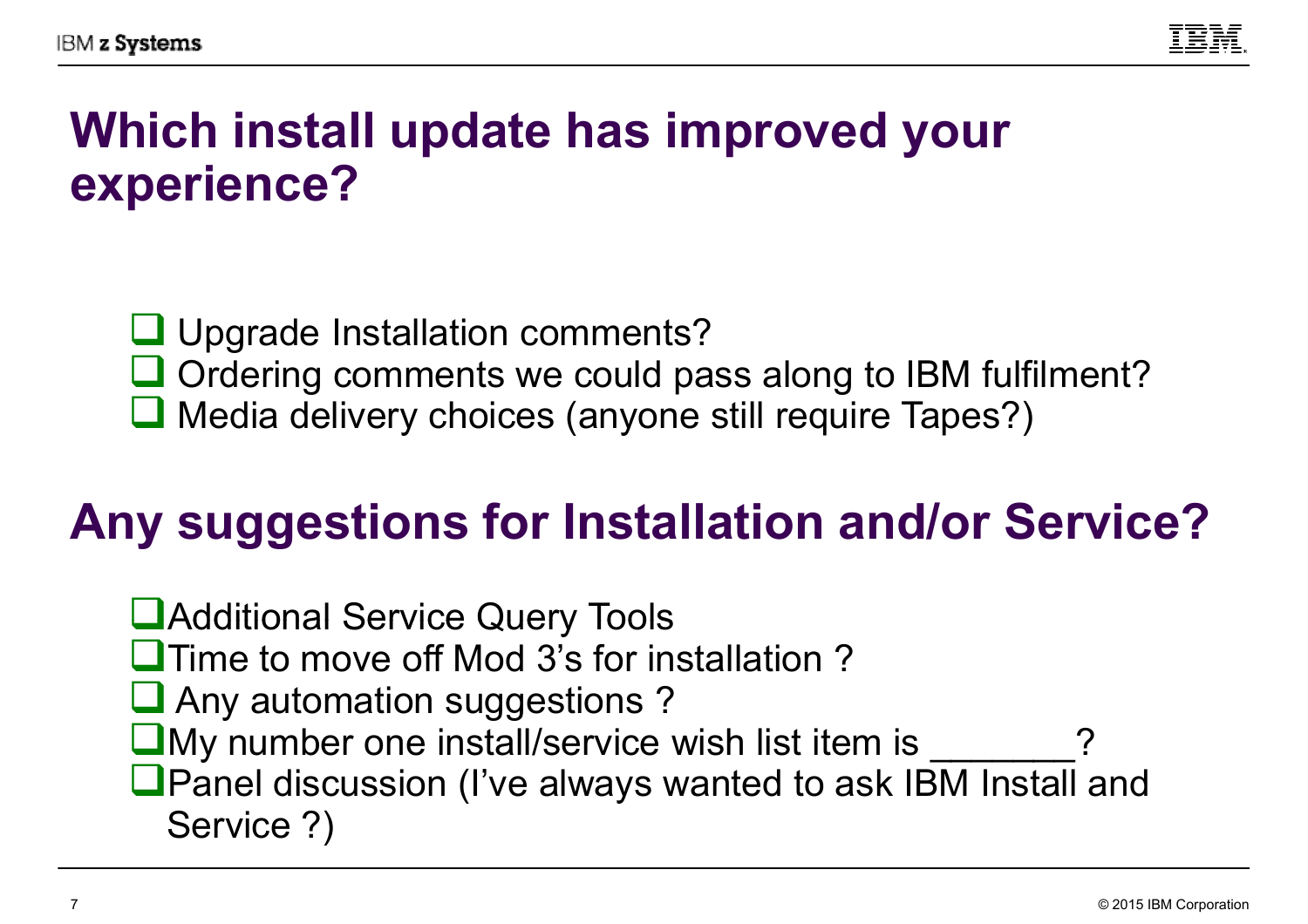

#### **Which install update has improved your experience?**

#### **□ Upgrade Installation comments?**  $\Box$  Ordering comments we could pass along to IBM fulfilment? ■ Media delivery choices (anyone still require Tapes?)

# **Any suggestions for Installation and/or Service?**

Additional Service Query Tools **Time to move off Mod 3's for installation? Any automation suggestions?**  $\blacksquare$ My number one install/service wish list item is  $\_$ Panel discussion (I've always wanted to ask IBM Install and Service ?)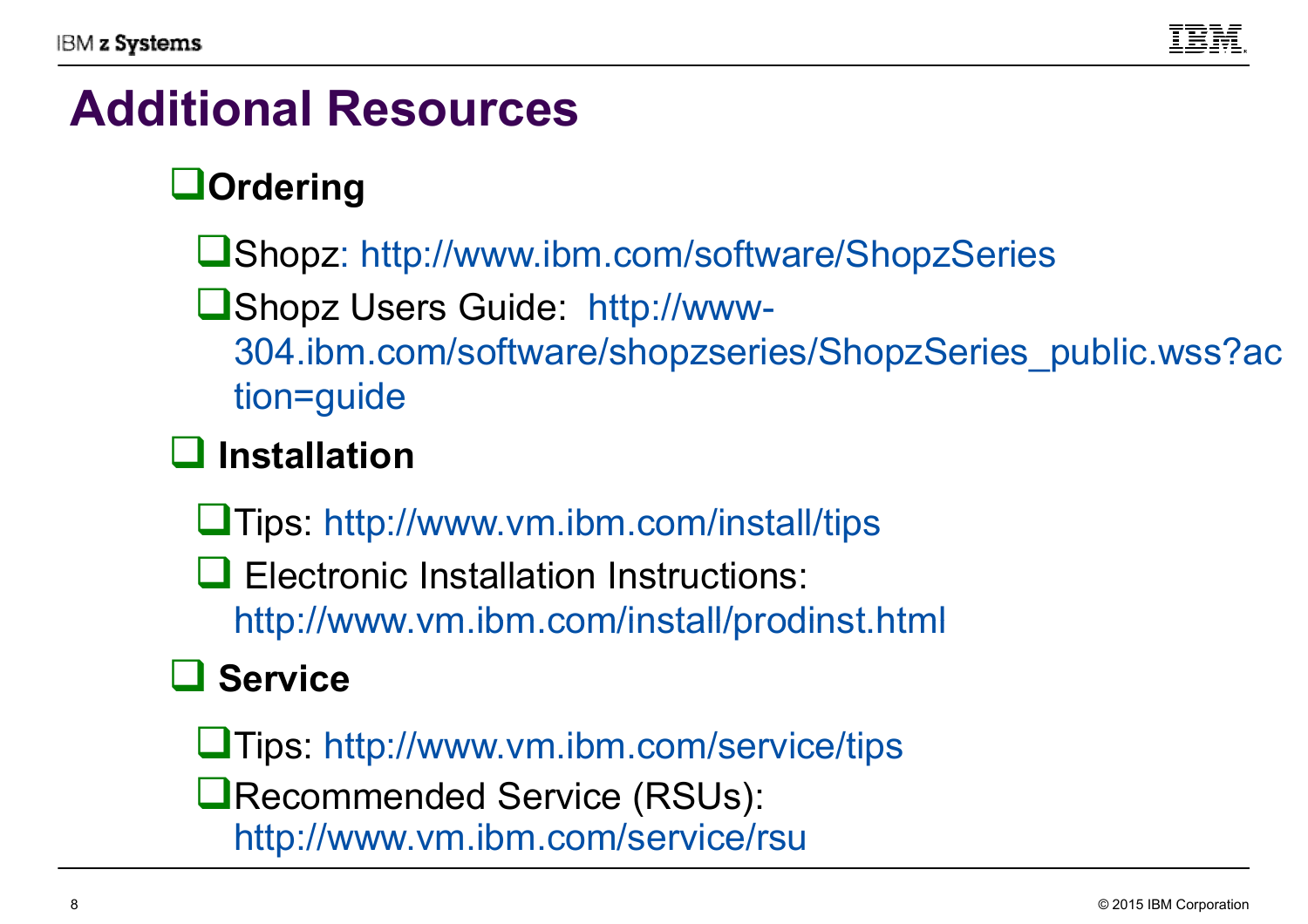

## **Additional Resources**

#### **L**Ordering

- Shopz: http://www.ibm.com/software/ShopzSeries
- Shopz Users Guide: http://www-304.ibm.com/software/shopzseries/ShopzSeries\_public.wss?ac tion=guide

#### **Installation**

- Tips: http://www.vm.ibm.com/install/tips
- $\Box$  Electronic Installation Instructions: http://www.vm.ibm.com/install/prodinst.html

#### **Service**

Tips: http://www.vm.ibm.com/service/tips Recommended Service (RSUs): http://www.vm.ibm.com/service/rsu